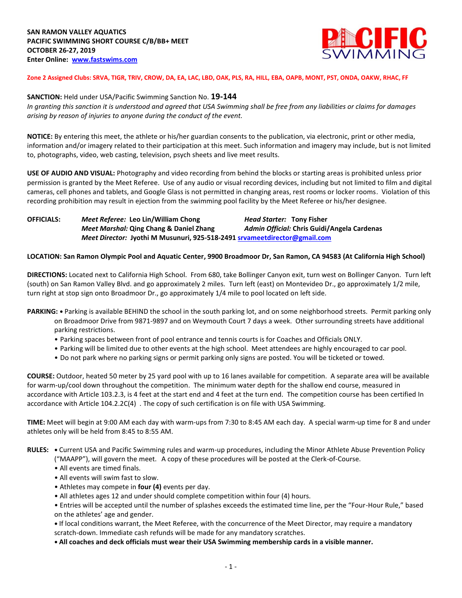

**Zone 2 Assigned Clubs: SRVA, TIGR, TRIV, CROW, DA, EA, LAC, LBD, OAK, PLS, RA, HILL, EBA, OAPB, MONT, PST, ONDA, OAKW, RHAC, FF**

## **SANCTION:** Held under USA/Pacific Swimming Sanction No. **19-144**

*In granting this sanction it is understood and agreed that USA Swimming shall be free from any liabilities or claims for damages arising by reason of injuries to anyone during the conduct of the event.*

**NOTICE:** By entering this meet, the athlete or his/her guardian consents to the publication, via electronic, print or other media, information and/or imagery related to their participation at this meet. Such information and imagery may include, but is not limited to, photographs, video, web casting, television, psych sheets and live meet results.

**USE OF AUDIO AND VISUAL:** Photography and video recording from behind the blocks or starting areas is prohibited unless prior permission is granted by the Meet Referee. Use of any audio or visual recording devices, including but not limited to film and digital cameras, cell phones and tablets, and Google Glass is not permitted in changing areas, rest rooms or locker rooms. Violation of this recording prohibition may result in ejection from the swimming pool facility by the Meet Referee or his/her designee.

**OFFICIALS:** *Meet Referee:* **Leo Lin/William Chong** *Head Starter:* **Tony Fisher** *Meet Marshal:* **Qing Chang & Daniel Zhang** *Admin Official:* **Chris Guidi/Angela Cardenas** *Meet Director:* **Jyothi M Musunuri, 925-518-2491 [srvameetdirector@gmail.com](mailto:srvameetdirector@gmail.com)**

## **LOCATION: San Ramon Olympic Pool and Aquatic Center, 9900 Broadmoor Dr, San Ramon, CA 94583 (At California High School)**

**DIRECTIONS:** Located next to California High School. From 680, take Bollinger Canyon exit, turn west on Bollinger Canyon. Turn left (south) on San Ramon Valley Blvd. and go approximately 2 miles. Turn left (east) on Montevideo Dr., go approximately 1/2 mile, turn right at stop sign onto Broadmoor Dr., go approximately 1/4 mile to pool located on left side.

- **PARKING:** Parking is available BEHIND the school in the south parking lot, and on some neighborhood streets. Permit parking only on Broadmoor Drive from 9871-9897 and on Weymouth Court 7 days a week. Other surrounding streets have additional parking restrictions.
	- Parking spaces between front of pool entrance and tennis courts is for Coaches and Officials ONLY.
	- Parking will be limited due to other events at the high school. Meet attendees are highly encouraged to car pool.
	- Do not park where no parking signs or permit parking only signs are posted. You will be ticketed or towed.

**COURSE:** Outdoor, heated 50 meter by 25 yard pool with up to 16 lanes available for competition. A separate area will be available for warm-up/cool down throughout the competition. The minimum water depth for the shallow end course, measured in accordance with Article 103.2.3, is 4 feet at the start end and 4 feet at the turn end. The competition course has been certified In accordance with Article 104.2.2C(4) . The copy of such certification is on file with USA Swimming.

**TIME:** Meet will begin at 9:00 AM each day with warm-ups from 7:30 to 8:45 AM each day. A special warm-up time for 8 and under athletes only will be held from 8:45 to 8:55 AM.

**RULES: •** Current USA and Pacific Swimming rules and warm-up procedures, including the Minor Athlete Abuse Prevention Policy

- ("MAAPP"), will govern the meet. A copy of these procedures will be posted at the Clerk-of-Course.
- All events are timed finals.
- All events will swim fast to slow.
- Athletes may compete in **four (4)** events per day.
- All athletes ages 12 and under should complete competition within four (4) hours.

• Entries will be accepted until the number of splashes exceeds the estimated time line, per the "Four-Hour Rule," based on the athletes' age and gender.

**•** If local conditions warrant, the Meet Referee, with the concurrence of the Meet Director, may require a mandatory scratch-down. Immediate cash refunds will be made for any mandatory scratches.

**• All coaches and deck officials must wear their USA Swimming membership cards in a visible manner.**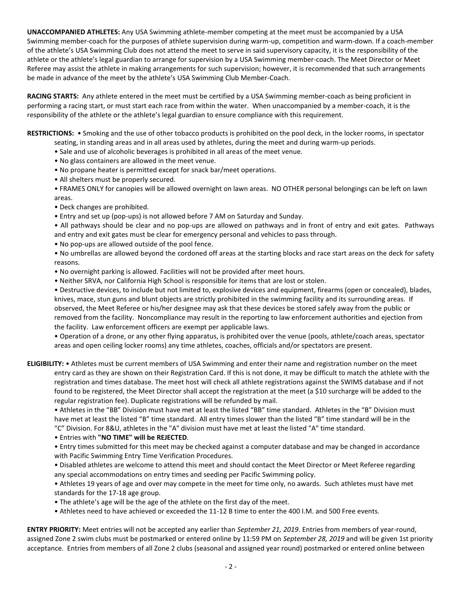**UNACCOMPANIED ATHLETES:** Any USA Swimming athlete-member competing at the meet must be accompanied by a USA Swimming member-coach for the purposes of athlete supervision during warm-up, competition and warm-down. If a coach-member of the athlete's USA Swimming Club does not attend the meet to serve in said supervisory capacity, it is the responsibility of the athlete or the athlete's legal guardian to arrange for supervision by a USA Swimming member-coach. The Meet Director or Meet Referee may assist the athlete in making arrangements for such supervision; however, it is recommended that such arrangements be made in advance of the meet by the athlete's USA Swimming Club Member-Coach.

**RACING STARTS:** Any athlete entered in the meet must be certified by a USA Swimming member-coach as being proficient in performing a racing start, or must start each race from within the water. When unaccompanied by a member-coach, it is the responsibility of the athlete or the athlete's legal guardian to ensure compliance with this requirement.

**RESTRICTIONS:** • Smoking and the use of other tobacco products is prohibited on the pool deck, in the locker rooms, in spectator seating, in standing areas and in all areas used by athletes, during the meet and during warm-up periods.

- Sale and use of alcoholic beverages is prohibited in all areas of the meet venue.
- No glass containers are allowed in the meet venue.
- No propane heater is permitted except for snack bar/meet operations.
- All shelters must be properly secured.
- FRAMES ONLY for canopies will be allowed overnight on lawn areas. NO OTHER personal belongings can be left on lawn areas.
- Deck changes are prohibited.
- Entry and set up (pop-ups) is not allowed before 7 AM on Saturday and Sunday.
- All pathways should be clear and no pop-ups are allowed on pathways and in front of entry and exit gates. Pathways and entry and exit gates must be clear for emergency personal and vehicles to pass through.
- No pop-ups are allowed outside of the pool fence.

• No umbrellas are allowed beyond the cordoned off areas at the starting blocks and race start areas on the deck for safety reasons.

- No overnight parking is allowed. Facilities will not be provided after meet hours.
- Neither SRVA, nor California High School is responsible for items that are lost or stolen.

• Destructive devices, to include but not limited to, explosive devices and equipment, firearms (open or concealed), blades, knives, mace, stun guns and blunt objects are strictly prohibited in the swimming facility and its surrounding areas. If observed, the Meet Referee or his/her designee may ask that these devices be stored safely away from the public or removed from the facility. Noncompliance may result in the reporting to law enforcement authorities and ejection from the facility. Law enforcement officers are exempt per applicable laws.

• Operation of a drone, or any other flying apparatus, is prohibited over the venue (pools, athlete/coach areas, spectator areas and open ceiling locker rooms) any time athletes, coaches, officials and/or spectators are present.

**ELIGIBILITY:** • Athletes must be current members of USA Swimming and enter their name and registration number on the meet entry card as they are shown on their Registration Card. If this is not done, it may be difficult to match the athlete with the registration and times database. The meet host will check all athlete registrations against the SWIMS database and if not found to be registered, the Meet Director shall accept the registration at the meet (a \$10 surcharge will be added to the regular registration fee). Duplicate registrations will be refunded by mail.

• Athletes in the "BB" Division must have met at least the listed "BB" time standard. Athletes in the "B" Division must have met at least the listed "B" time standard. All entry times slower than the listed "B" time standard will be in the "C" Division. For 8&U, athletes in the "A" division must have met at least the listed "A" time standard.

• Entries with **"NO TIME" will be REJECTED**.

• Entry times submitted for this meet may be checked against a computer database and may be changed in accordance with Pacific Swimming Entry Time Verification Procedures.

• Disabled athletes are welcome to attend this meet and should contact the Meet Director or Meet Referee regarding any special accommodations on entry times and seeding per Pacific Swimming policy.

• Athletes 19 years of age and over may compete in the meet for time only, no awards. Such athletes must have met standards for the 17-18 age group.

- The athlete's age will be the age of the athlete on the first day of the meet.
- Athletes need to have achieved or exceeded the 11-12 B time to enter the 400 I.M. and 500 Free events.

**ENTRY PRIORITY:** Meet entries will not be accepted any earlier than *September 21, 2019*. Entries from members of year-round, assigned Zone 2 swim clubs must be postmarked or entered online by 11:59 PM on *September 28, 2019* and will be given 1st priority acceptance. Entries from members of all Zone 2 clubs (seasonal and assigned year round) postmarked or entered online between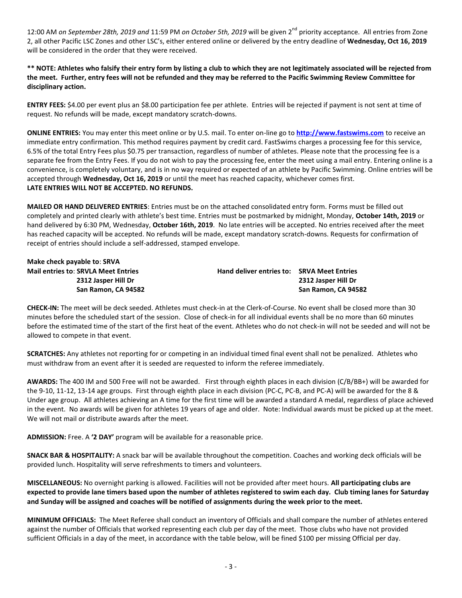12:00 AM *on September 28th, 2019 and* 11:59 PM *on October 5th, 2019* will be given 2nd priority acceptance. All entries from Zone 2, all other Pacific LSC Zones and other LSC's, either entered online or delivered by the entry deadline of **Wednesday, Oct 16, 2019** will be considered in the order that they were received.

**\*\* NOTE: Athletes who falsify their entry form by listing a club to which they are not legitimately associated will be rejected from the meet. Further, entry fees will not be refunded and they may be referred to the Pacific Swimming Review Committee for disciplinary action.**

**ENTRY FEES:** \$4.00 per event plus an \$8.00 participation fee per athlete. Entries will be rejected if payment is not sent at time of request. No refunds will be made, except mandatory scratch-downs.

**ONLINE ENTRIES:** You may enter this meet online or by U.S. mail. To enter on-line go to **[http://www.fastswims.com](http://www.fastswims.com/)** to receive an immediate entry confirmation. This method requires payment by credit card. FastSwims charges a processing fee for this service, 6.5% of the total Entry Fees plus \$0.75 per transaction, regardless of number of athletes. Please note that the processing fee is a separate fee from the Entry Fees. If you do not wish to pay the processing fee, enter the meet using a mail entry. Entering online is a convenience, is completely voluntary, and is in no way required or expected of an athlete by Pacific Swimming. Online entries will be accepted through **Wednesday, Oct 16, 2019** or until the meet has reached capacity, whichever comes first. **LATE ENTRIES WILL NOT BE ACCEPTED. NO REFUNDS.**

**MAILED OR HAND DELIVERED ENTRIES**: Entries must be on the attached consolidated entry form. Forms must be filled out completely and printed clearly with athlete's best time. Entries must be postmarked by midnight, Monday, **October 14th, 2019** or hand delivered by 6:30 PM, Wednesday, **October 16th, 2019**. No late entries will be accepted. No entries received after the meet has reached capacity will be accepted. No refunds will be made, except mandatory scratch-downs. Requests for confirmation of receipt of entries should include a self-addressed, stamped envelope.

| Make check payable to: SRVA                |                                            |                     |
|--------------------------------------------|--------------------------------------------|---------------------|
| <b>Mail entries to: SRVLA Meet Entries</b> | Hand deliver entries to: SRVA Meet Entries |                     |
| 2312 Jasper Hill Dr                        |                                            | 2312 Jasper Hill Dr |
| San Ramon, CA 94582                        |                                            | San Ramon, CA 94582 |

**CHECK-IN:** The meet will be deck seeded. Athletes must check-in at the Clerk-of-Course. No event shall be closed more than 30 minutes before the scheduled start of the session. Close of check-in for all individual events shall be no more than 60 minutes before the estimated time of the start of the first heat of the event. Athletes who do not check-in will not be seeded and will not be allowed to compete in that event.

**SCRATCHES:** Any athletes not reporting for or competing in an individual timed final event shall not be penalized. Athletes who must withdraw from an event after it is seeded are requested to inform the referee immediately.

**AWARDS:** The 400 IM and 500 Free will not be awarded. First through eighth places in each division (C/B/BB+) will be awarded for the 9-10, 11-12, 13-14 age groups. First through eighth place in each division (PC-C, PC-B, and PC-A) will be awarded for the 8 & Under age group. All athletes achieving an A time for the first time will be awarded a standard A medal, regardless of place achieved in the event. No awards will be given for athletes 19 years of age and older. Note: Individual awards must be picked up at the meet. We will not mail or distribute awards after the meet.

**ADMISSION:** Free. A **'2 DAY'** program will be available for a reasonable price.

**SNACK BAR & HOSPITALITY:** A snack bar will be available throughout the competition. Coaches and working deck officials will be provided lunch. Hospitality will serve refreshments to timers and volunteers.

**MISCELLANEOUS:** No overnight parking is allowed. Facilities will not be provided after meet hours. **All participating clubs are expected to provide lane timers based upon the number of athletes registered to swim each day. Club timing lanes for Saturday and Sunday will be assigned and coaches will be notified of assignments during the week prior to the meet.**

**MINIMUM OFFICIALS:** The Meet Referee shall conduct an inventory of Officials and shall compare the number of athletes entered against the number of Officials that worked representing each club per day of the meet. Those clubs who have not provided sufficient Officials in a day of the meet, in accordance with the table below, will be fined \$100 per missing Official per day.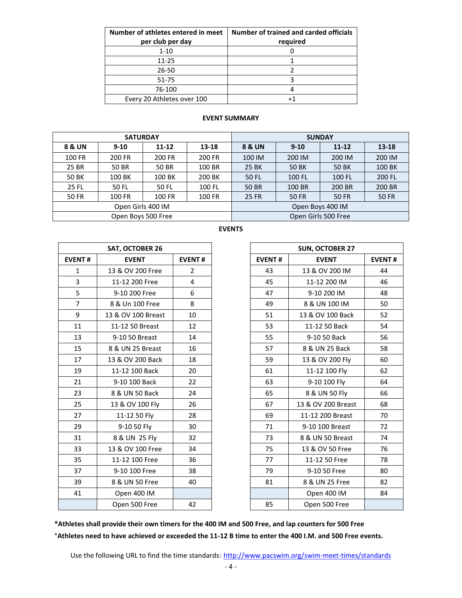| Number of athletes entered in meet<br>per club per day | Number of trained and carded officials<br>required |
|--------------------------------------------------------|----------------------------------------------------|
| $1 - 10$                                               |                                                    |
| $11 - 25$                                              |                                                    |
| 26-50                                                  |                                                    |
| 51-75                                                  |                                                    |
| 76-100                                                 |                                                    |
| Every 20 Athletes over 100                             |                                                    |

## **EVENT SUMMARY**

|              | <b>SATURDAY</b>    |           |               | <b>SUNDAY</b>         |          |              |              |  |  |
|--------------|--------------------|-----------|---------------|-----------------------|----------|--------------|--------------|--|--|
| 8 & UN       | $9 - 10$           | $11 - 12$ | 13-18         | 8 & UN                | $9 - 10$ |              | 13-18        |  |  |
| 100 FR       | 200 FR             | 200 FR    | 200 FR        | 100 IM<br>200 IM      |          | 200 IM       | 200 IM       |  |  |
| 25 BR        | <b>50 BR</b>       | 50 BR     | 100 BR        | <b>25 BK</b><br>50 BK |          | 50 BK        | 100 BK       |  |  |
| <b>50 BK</b> | 100 BK             | 100 BK    | 200 BK        | 50 FL<br>100 FL       |          | 100 FL       | 200 FL       |  |  |
| <b>25 FL</b> | 50 FL              | 50 FL     | 100 FL        | 50 BR<br>100 BR       |          | 200 BR       | 200 BR       |  |  |
| <b>50 FR</b> | 100 FR             | 100 FR    | <b>100 FR</b> | <b>25 FR</b>          | 50 FR    | <b>50 FR</b> | <b>50 FR</b> |  |  |
|              | Open Girls 400 IM  |           |               | Open Boys 400 IM      |          |              |              |  |  |
|              | Open Boys 500 Free |           |               | Open Girls 500 Free   |          |              |              |  |  |

| SAT, OCTOBER 26 |                    |    |  |  |  |  |  |
|-----------------|--------------------|----|--|--|--|--|--|
| <b>EVENT#</b>   | <b>EVENT#</b>      |    |  |  |  |  |  |
| $\mathbf{1}$    | 13 & OV 200 Free   | 2  |  |  |  |  |  |
| 3               | 11-12 200 Free     | 4  |  |  |  |  |  |
| 5               | 9-10 200 Free      | 6  |  |  |  |  |  |
| $\overline{7}$  | 8 & Un 100 Free    | 8  |  |  |  |  |  |
| 9               | 13 & OV 100 Breast | 10 |  |  |  |  |  |
| 11              | 11-12 50 Breast    | 12 |  |  |  |  |  |
| 13              | 9-10 50 Breast     | 14 |  |  |  |  |  |
| 15              | 8 & UN 25 Breast   | 16 |  |  |  |  |  |
| 17              | 13 & OV 200 Back   | 18 |  |  |  |  |  |
| 19              | 11-12 100 Back     | 20 |  |  |  |  |  |
| 21              | 9-10 100 Back      | 22 |  |  |  |  |  |
| 23              | 8 & UN 50 Back     | 24 |  |  |  |  |  |
| 25              | 13 & OV 100 Fly    | 26 |  |  |  |  |  |
| 27              | 11-12 50 Fly       | 28 |  |  |  |  |  |
| 29              | 9-10 50 Fly        | 30 |  |  |  |  |  |
| 31              | 8 & UN 25 Fly      | 32 |  |  |  |  |  |
| 33              | 13 & OV 100 Free   | 34 |  |  |  |  |  |
| 35              | 11-12 100 Free     | 36 |  |  |  |  |  |
| 37              | 9-10 100 Free      | 38 |  |  |  |  |  |
| 39              | 8 & UN 50 Free     | 40 |  |  |  |  |  |
| 41              | Open 400 IM        |    |  |  |  |  |  |
|                 | Open 500 Free      | 42 |  |  |  |  |  |

| w | ۰, |
|---|----|
|---|----|

|                | <b>SAT, OCTOBER 26</b> |                |
|----------------|------------------------|----------------|
| <b>EVENT#</b>  | <b>EVENT</b>           | <b>EVENT#</b>  |
| $\mathbf{1}$   | 13 & OV 200 Free       | $\overline{2}$ |
| $\overline{3}$ | 11-12 200 Free         | 4              |
| 5              | 9-10 200 Free          | 6              |
| $\overline{7}$ | 8 & Un 100 Free        | 8              |
| 9              | 13 & OV 100 Breast     | 10             |
| 11             | 11-12 50 Breast        | 12             |
| 13             | 9-10 50 Breast         | 14             |
| 15             | 8 & UN 25 Breast       | 16             |
| 17             | 13 & OV 200 Back       | 18             |
| 19             | 11-12 100 Back         | 20             |
| 21             | 9-10 100 Back          | 22             |
| 23             | 8 & UN 50 Back         | 24             |
| 25             | 13 & OV 100 Fly        | 26             |
| 27             | 11-12 50 Fly           | 28             |
| 29             | 9-10 50 Fly            | 30             |
| 31             | 8 & UN 25 Fly          | 32             |
| 33             | 13 & OV 100 Free       | 34             |
| 35             | 11-12 100 Free         | 36             |
| 37             | 9-10 100 Free          | 38             |
| 39             | 8 & UN 50 Free         | 40             |
| 41             | Open 400 IM            |                |
|                | Open 500 Free          | 42             |

**\*Athletes shall provide their own timers for the 400 IM and 500 Free, and lap counters for 500 Free** \***Athletes need to have achieved or exceeded the 11-12 B time to enter the 400 I.M. and 500 Free events.**

Use the following URL to find the time standards: <http://www.pacswim.org/swim-meet-times/standards>